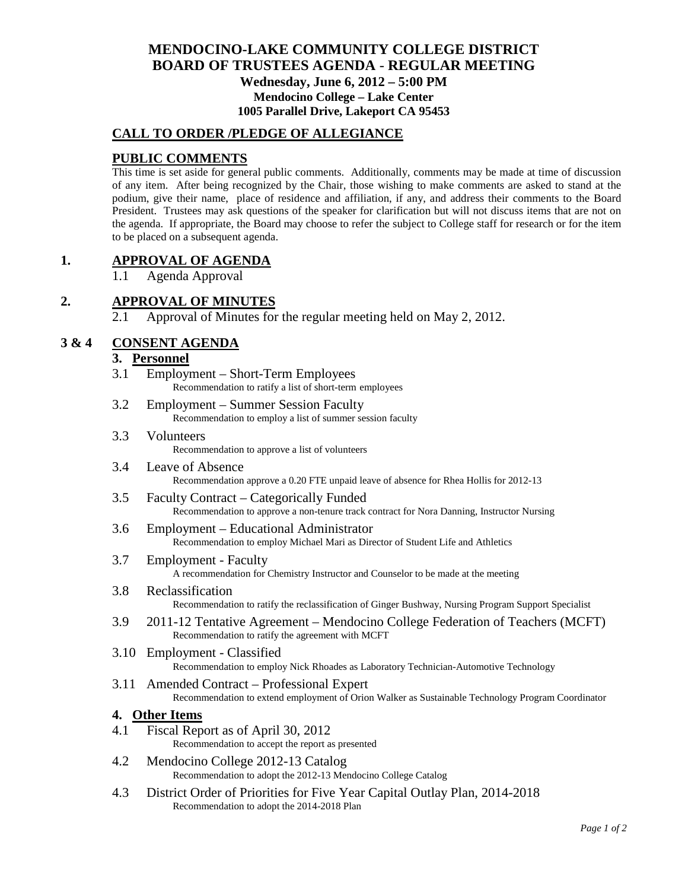# **MENDOCINO-LAKE COMMUNITY COLLEGE DISTRICT BOARD OF TRUSTEES AGENDA** - **REGULAR MEETING Wednesday, June 6, 2012 – 5:00 PM Mendocino College – Lake Center 1005 Parallel Drive, Lakeport CA 95453**

# **CALL TO ORDER /PLEDGE OF ALLEGIANCE**

### **PUBLIC COMMENTS**

This time is set aside for general public comments. Additionally, comments may be made at time of discussion of any item. After being recognized by the Chair, those wishing to make comments are asked to stand at the podium, give their name, place of residence and affiliation, if any, and address their comments to the Board President. Trustees may ask questions of the speaker for clarification but will not discuss items that are not on the agenda. If appropriate, the Board may choose to refer the subject to College staff for research or for the item to be placed on a subsequent agenda.

### **1. APPROVAL OF AGENDA**

1.1 Agenda Approval

# **2. APPROVAL OF MINUTES**

2.1 Approval of Minutes for the regular meeting held on May 2, 2012.

# **3 & 4 CONSENT AGENDA**

### **3. Personnel**

- 3.1 Employment Short-Term Employees Recommendation to ratify a list of short-term employees
- 3.2 Employment Summer Session Faculty Recommendation to employ a list of summer session faculty
- 3.3 Volunteers Recommendation to approve a list of volunteers
- 3.4 Leave of Absence Recommendation approve a 0.20 FTE unpaid leave of absence for Rhea Hollis for 2012-13
- 3.5 Faculty Contract Categorically Funded Recommendation to approve a non-tenure track contract for Nora Danning, Instructor Nursing
- 3.6 Employment Educational Administrator Recommendation to employ Michael Mari as Director of Student Life and Athletics
- 3.7 Employment Faculty A recommendation for Chemistry Instructor and Counselor to be made at the meeting
- 3.8 Reclassification Recommendation to ratify the reclassification of Ginger Bushway, Nursing Program Support Specialist
- 3.9 2011-12 Tentative Agreement Mendocino College Federation of Teachers (MCFT) Recommendation to ratify the agreement with MCFT

#### 3.10 Employment - Classified Recommendation to employ Nick Rhoades as Laboratory Technician-Automotive Technology

3.11 Amended Contract – Professional Expert Recommendation to extend employment of Orion Walker as Sustainable Technology Program Coordinator

### **4. Other Items**

- 4.1 Fiscal Report as of April 30, 2012 Recommendation to accept the report as presented
- 4.2 Mendocino College 2012-13 Catalog Recommendation to adopt the 2012-13 Mendocino College Catalog
- 4.3 District Order of Priorities for Five Year Capital Outlay Plan, 2014-2018 Recommendation to adopt the 2014-2018 Plan